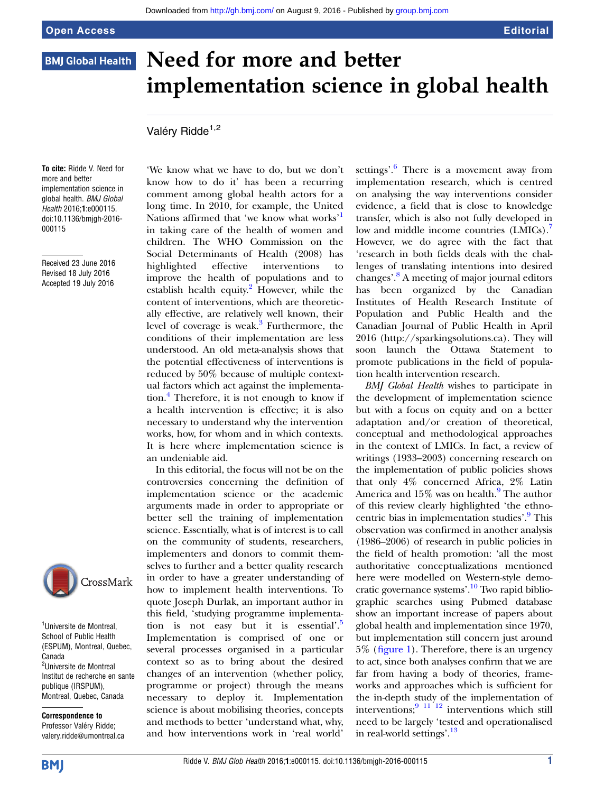## Need for more and better **BMJ Global Health** implementation science in global health

## Valéry Ridde<sup>1,2</sup>

To cite: Ridde V. Need for more and better implementation science in global health. BMJ Global Health 2016;1:e000115. doi:10.1136/bmjgh-2016- 000115

Received 23 June 2016 Revised 18 July 2016 Accepted 19 July 2016



<sup>1</sup>Universite de Montreal, School of Public Health (ESPUM), Montreal, Quebec, Canada <sup>2</sup>Universite de Montreal Institut de recherche en sante publique (IRSPUM), Montreal, Quebec, Canada

Correspondence to Professor Valéry Ridde; valery.ridde@umontreal.ca 'We know what we have to do, but we don't know how to do it' has been a recurring comment among global health actors for a long time. In 2010, for example, the United Nations affirmed that 'we know what works'<sup>[1](#page-2-0)</sup> in taking care of the health of women and children. The WHO Commission on the Social Determinants of Health (2008) has highlighted effective interventions to improve the health of populations and to establish health equity. $\frac{2}{3}$  $\frac{2}{3}$  $\frac{2}{3}$  However, while the content of interventions, which are theoretically effective, are relatively well known, their level of coverage is weak. $3$  Furthermore, the conditions of their implementation are less understood. An old meta-analysis shows that the potential effectiveness of interventions is reduced by 50% because of multiple contextual factors which act against the implementa-tion.<sup>[4](#page-2-0)</sup> Therefore, it is not enough to know if a health intervention is effective; it is also necessary to understand why the intervention works, how, for whom and in which contexts. It is here where implementation science is an undeniable aid.

In this editorial, the focus will not be on the controversies concerning the definition of implementation science or the academic arguments made in order to appropriate or better sell the training of implementation science. Essentially, what is of interest is to call on the community of students, researchers, implementers and donors to commit themselves to further and a better quality research in order to have a greater understanding of how to implement health interventions. To quote Joseph Durlak, an important author in this field, 'studying programme implementation is not easy but it is essential'. [5](#page-2-0) Implementation is comprised of one or several processes organised in a particular context so as to bring about the desired changes of an intervention (whether policy, programme or project) through the means necessary to deploy it. Implementation science is about mobilising theories, concepts and methods to better 'understand what, why, and how interventions work in 'real world'

settings'.<sup>[6](#page-2-0)</sup> There is a movement away from implementation research, which is centred on analysing the way interventions consider evidence, a field that is close to knowledge transfer, which is also not fully developed in low and middle income countries (LMICs).<sup>[7](#page-2-0)</sup> However, we do agree with the fact that 'research in both fields deals with the challenges of translating intentions into desired changes'. [8](#page-2-0) A meeting of major journal editors has been organized by the Canadian Institutes of Health Research Institute of Population and Public Health and the Canadian Journal of Public Health in April 2016 (http://sparkingsolutions.ca). They will soon launch the Ottawa Statement to promote publications in the field of population health intervention research.

BMJ Global Health wishes to participate in the development of implementation science but with a focus on equity and on a better adaptation and/or creation of theoretical, conceptual and methodological approaches in the context of LMICs. In fact, a review of writings (1933–2003) concerning research on the implementation of public policies shows that only 4% concerned Africa, 2% Latin America and  $15\%$  was on health.<sup>[9](#page-2-0)</sup> The author of this review clearly highlighted 'the ethnocentric bias in implementation studies'. [9](#page-2-0) This observation was confirmed in another analysis (1986–2006) of research in public policies in the field of health promotion: 'all the most authoritative conceptualizations mentioned here were modelled on Western-style democratic governance systems'. [10](#page-2-0) Two rapid bibliographic searches using Pubmed database show an important increase of papers about global health and implementation since 1970, but implementation still concern just around 5% (fi[gure 1\)](#page-1-0). Therefore, there is an urgency to act, since both analyses confirm that we are far from having a body of theories, frameworks and approaches which is sufficient for the in-depth study of the implementation of interventions; $\frac{9}{11}$  12 interventions which still need to be largely 'tested and operationalised in real-world settings'.<sup>[13](#page-2-0)</sup>

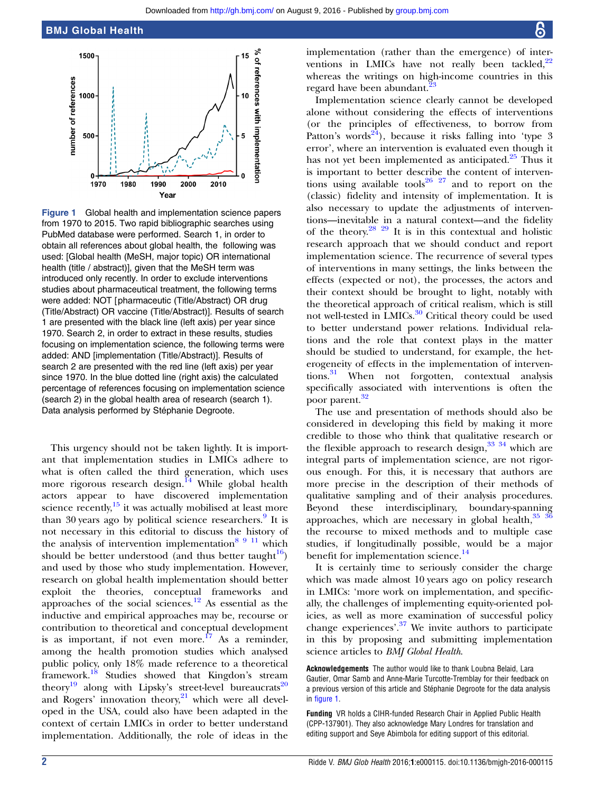<span id="page-1-0"></span>

Figure 1 Global health and implementation science papers from 1970 to 2015. Two rapid bibliographic searches using PubMed database were performed. Search 1, in order to obtain all references about global health, the following was used: [Global health (MeSH, major topic) OR international health (title / abstract)], given that the MeSH term was introduced only recently. In order to exclude interventions studies about pharmaceutical treatment, the following terms were added: NOT [pharmaceutic (Title/Abstract) OR drug (Title/Abstract) OR vaccine (Title/Abstract)]. Results of search 1 are presented with the black line (left axis) per year since 1970. Search 2, in order to extract in these results, studies focusing on implementation science, the following terms were added: AND [implementation (Title/Abstract)]. Results of search 2 are presented with the red line (left axis) per year since 1970. In the blue dotted line (right axis) the calculated percentage of references focusing on implementation science (search 2) in the global health area of research (search 1). Data analysis performed by Stéphanie Degroote.

This urgency should not be taken lightly. It is important that implementation studies in LMICs adhere to what is often called the third generation, which uses more rigorous research design.<sup>[14](#page-2-0)</sup> While global health actors appear to have discovered implementation science  $\text{recently}$ ,  $^{15}$  it was actually mobilised at least more than 30 years ago by political science researchers. <sup>[9](#page-2-0)</sup> It is not necessary in this editorial to discuss the history of the analysis of intervention implementation<sup>[8 9 11](#page-2-0)</sup> which should be better understood (and thus better taught<sup>[16](#page-2-0)</sup>) and used by those who study implementation. However, research on global health implementation should better exploit the theories, conceptual frameworks and approaches of the social sciences.<sup>[12](#page-2-0)</sup> As essential as the inductive and empirical approaches may be, recourse or contribution to theoretical and conceptual development is as important, if not even more.<sup>17</sup> As a reminder, among the health promotion studies which analysed public policy, only 18% made reference to a theoretical framework.[18](#page-2-0) Studies showed that Kingdon's stream theory<sup>[19](#page-2-0)</sup> along with Lipsky's street-level bureaucrats<sup>[20](#page-2-0)</sup> and Rogers' innovation theory, $21$  which were all developed in the USA, could also have been adapted in the context of certain LMICs in order to better understand implementation. Additionally, the role of ideas in the implementation (rather than the emergence) of interventions in LMICs have not really been tackled, $2^2$ whereas the writings on high-income countries in this regard have been abundant.<sup>23</sup>

Implementation science clearly cannot be developed alone without considering the effects of interventions (or the principles of effectiveness, to borrow from Patton's words<sup>[24](#page-2-0)</sup>), because it risks falling into 'type 3 error', where an intervention is evaluated even though it has not yet been implemented as anticipated. $25$  Thus it is important to better describe the content of interventions using available tools $26 \frac{27}{27}$  and to report on the (classic) fidelity and intensity of implementation. It is also necessary to update the adjustments of interventions—inevitable in a natural context—and the fidelity of the theory.<sup>28 29</sup> It is in this contextual and holistic research approach that we should conduct and report implementation science. The recurrence of several types of interventions in many settings, the links between the effects (expected or not), the processes, the actors and their context should be brought to light, notably with the theoretical approach of critical realism, which is still not well-tested in LMICs.<sup>[30](#page-2-0)</sup> Critical theory could be used to better understand power relations. Individual relations and the role that context plays in the matter should be studied to understand, for example, the heterogeneity of effects in the implementation of interventions.[31](#page-2-0) When not forgotten, contextual analysis specifically associated with interventions is often the poor parent.<sup>[32](#page-2-0)</sup>

The use and presentation of methods should also be considered in developing this field by making it more credible to those who think that qualitative research or the flexible approach to research design,  $33^{34}$  which are integral parts of implementation science, are not rigorous enough. For this, it is necessary that authors are more precise in the description of their methods of qualitative sampling and of their analysis procedures. Beyond these interdisciplinary, boundary-spanning approaches, which are necessary in global health,  $35 \frac{36}{36}$ the recourse to mixed methods and to multiple case studies, if longitudinally possible, would be a major benefit for implementation science.<sup>[14](#page-2-0)</sup>

It is certainly time to seriously consider the charge which was made almost 10 years ago on policy research in LMICs: 'more work on implementation, and specifically, the challenges of implementing equity-oriented policies, as well as more examination of successful policy change experiences'.<sup>[37](#page-2-0)</sup> We invite authors to participate in this by proposing and submitting implementation science articles to BMJ Global Health.

Acknowledgements The author would like to thank Loubna Belaid, Lara Gautier, Omar Samb and Anne-Marie Turcotte-Tremblay for their feedback on a previous version of this article and Stéphanie Degroote for the data analysis in figure 1.

Funding VR holds a CIHR-funded Research Chair in Applied Public Health (CPP-137901). They also acknowledge Mary Londres for translation and editing support and Seye Abimbola for editing support of this editorial.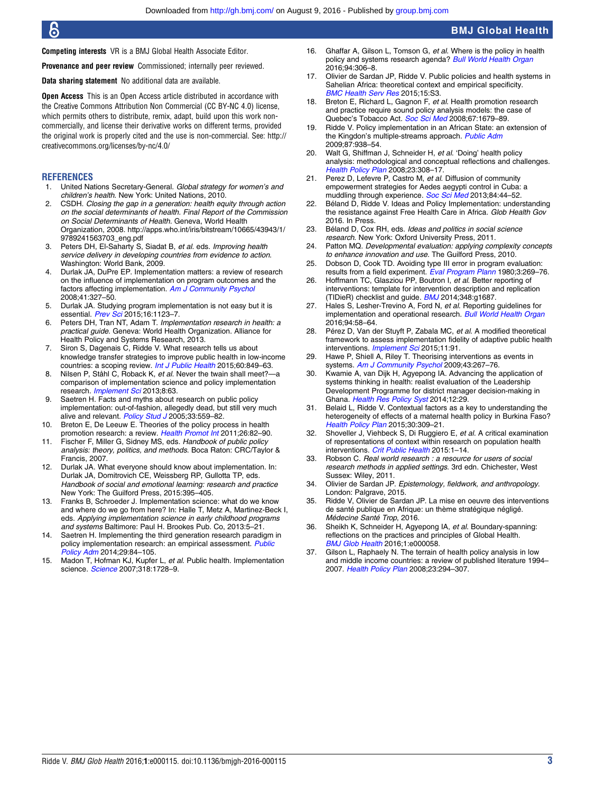<span id="page-2-0"></span>

Competing interests VR is a BMJ Global Health Associate Editor.

Provenance and peer review Commissioned; internally peer reviewed.

Data sharing statement No additional data are available.

Open Access This is an Open Access article distributed in accordance with the Creative Commons Attribution Non Commercial (CC BY-NC 4.0) license, which permits others to distribute, remix, adapt, build upon this work noncommercially, and license their derivative works on different terms, provided the original work is properly cited and the use is non-commercial. See: [http://](http://creativecommons.org/licenses/by-nc/4.0/) [creativecommons.org/licenses/by-nc/4.0/](http://creativecommons.org/licenses/by-nc/4.0/)

## **REFERENCES**

- United Nations Secretary-General. Global strategy for women's and children's health. New York: United Nations, 2010.
- 2. CSDH. Closing the gap in a generation: health equity through action on the social determinants of health. Final Report of the Commission on Social Determinants of Health. Geneva, World Health Organization, 2008. http://apps.who.int/iris/bitstream/10665/43943/1/ 9789241563703\_eng.pdf
- 3. Peters DH, El-Saharty S, Siadat B, et al. eds. Improving health service delivery in developing countries from evidence to action. Washington: World Bank, 2009.
- 4. Durlak JA, DuPre EP. Implementation matters: a review of research on the influence of implementation on program outcomes and the factors affecting implementation. [Am J Community Psychol](http://dx.doi.org/10.1007/s10464-008-9165-0) 2008;41:327–50.
- 5. Durlak JA. Studying program implementation is not easy but it is essential. [Prev Sci](http://dx.doi.org/10.1007/s11121-015-0606-3) 2015;16:1123-7.
- 6. Peters DH, Tran NT, Adam T. Implementation research in health: a practical guide. Geneva: World Health Organization. Alliance for Health Policy and Systems Research, 2013.
- 7. Siron S, Dagenais C, Ridde V. What research tells us about knowledge transfer strategies to improve public health in low-income countries: a scoping review. *[Int J Public Health](http://dx.doi.org/10.1007/s00038-015-0716-5)* 2015;60:849–63.
- 8. Nilsen P, Ståhl C, Roback K, et al. Never the twain shall meet?-a comparison of implementation science and policy implementation research. [Implement Sci](http://dx.doi.org/10.1186/1748-5908-8-63) 2013;8:63.
- 9. Saetren H. Facts and myths about research on public policy implementation: out-of-fashion, allegedly dead, but still very much alive and relevant. [Policy Stud J](http://dx.doi.org/10.1111/j.1541-0072.2005.00133.x) 2005;33:559-82.
- 10. Breton E, De Leeuw E. Theories of the policy process in health promotion research: a review. [Health Promot Int](http://dx.doi.org/10.1093/heapro/daq051) 2011;26:82-90.
- 11. Fischer F, Miller G, Sidney MS, eds. Handbook of public policy analysis: theory, politics, and methods. Boca Raton: CRC/Taylor & Francis, 2007.
- 12. Durlak JA. What everyone should know about implementation. In: Durlak JA, Domitrovich CE, Weissberg RP, Gullotta TP, eds. Handbook of social and emotional learning: research and practice New York: The Guilford Press, 2015:395–405.
- 13. Franks B, Schroeder J. Implementation science: what do we know and where do we go from here? In: Halle T, Metz A, Martinez-Beck I, eds. Applying implementation science in early childhood programs and systems Baltimore: Paul H. Brookes Pub. Co, 2013:5–21.
- 14. Saetren H. Implementing the third generation research paradigm in policy implementation research: an empirical assessment. [Public](http://dx.doi.org/10.1177/0952076713513487) [Policy Adm](http://dx.doi.org/10.1177/0952076713513487) 2014;29:84–105.
- 15. Madon T, Hofman KJ, Kupfer L, et al. Public health. Implementation science. [Science](http://dx.doi.org/10.1126/science.1150009) 2007;318:1728-9.
- 16. Ghaffar A, Gilson L, Tomson G, et al. Where is the policy in health policy and systems research agenda? [Bull World Health Organ](http://dx.doi.org/10.2471/BLT.15.156281) 2016;94:306–8.
- 17. Olivier de Sardan JP, Ridde V. Public policies and health systems in Sahelian Africa: theoretical context and empirical specificity. [BMC Health Serv Res](http://dx.doi.org/10.1186/1472-6963-15-S3-S3) 2015;15:S3.
- 18. Breton E, Richard L, Gagnon F, et al. Health promotion research and practice require sound policy analysis models: the case of Quebec's Tobacco Act. [Soc Sci Med](http://dx.doi.org/10.1016/j.socscimed.2008.07.028) 2008;67:1679-89.
- 19. Ridde V. Policy implementation in an African State: an extension of the Kingdon's multiple-streams approach. [Public Adm](http://dx.doi.org/10.1111/j.1467-9299.2009.01792.x) 2009;87:938–54.
- 20. Walt G, Shiffman J, Schneider H, et al. 'Doing' health policy analysis: methodological and conceptual reflections and challenges. [Health Policy Plan](http://dx.doi.org/10.1093/heapol/czn024) 2008:23:308-17.
- 21. Perez D, Lefevre P, Castro M, et al. Diffusion of community empowerment strategies for Aedes aegypti control in Cuba: a muddling through experience. [Soc Sci Med](http://dx.doi.org/10.1016/j.socscimed.2013.02.003) 2013;84:44-52.
- 22. Béland D, Ridde V. Ideas and Policy Implementation: understanding the resistance against Free Health Care in Africa. Glob Health Gov 2016. In Press.
- 23. Béland D, Cox RH, eds. Ideas and politics in social science research. New York: Oxford University Press, 2011.
- 24. Patton MQ. Developmental evaluation: applying complexity concepts to enhance innovation and use. The Guilford Press, 2010.
- 25. Dobson D, Cook TD. Avoiding type III error in program evaluation: results from a field experiment. [Eval Program Plann](http://dx.doi.org/10.1016/0149-7189(80)90042-7) 1980;3:269-
- 26. Hoffmann TC, Glasziou PP, Boutron I, et al. Better reporting of interventions: template for intervention description and replication (TIDieR) checklist and guide. **[BMJ](http://dx.doi.org/10.1136/bmj.g1687)** 2014;348:g1687.
- 27. Hales S, Lesher-Trevino A, Ford N, et al. Reporting guidelines for implementation and operational research. [Bull World Health Organ](http://dx.doi.org/10.2471/BLT.15.167585) 2016;94:58–64.
- 28. Pérez D, Van der Stuyft P, Zabala MC, et al. A modified theoretical framework to assess implementation fidelity of adaptive public health interventions. [Implement Sci](http://dx.doi.org/10.1186/s13012-016-0457-8) 2015;11:91.
- 29. Hawe P, Shiell A, Riley T. Theorising interventions as events in systems. [Am J Community Psychol](http://dx.doi.org/10.1007/s10464-009-9229-9) 2009;43:267-76.
- 30. Kwamie A, van Dijk H, Agyepong IA. Advancing the application of systems thinking in health: realist evaluation of the Leadership Development Programme for district manager decision-making in Ghana. [Health Res Policy Syst](http://dx.doi.org/10.1186/1478-4505-12-29) 2014;12:29.
- 31. Belaid L, Ridde V. Contextual factors as a key to understanding the heterogeneity of effects of a maternal health policy in Burkina Faso? [Health Policy Plan](http://dx.doi.org/10.1093/heapol/czu012) 2015;30:309–21.
- 32. Shoveller J, Viehbeck S, Di Ruggiero E, et al. A critical examination of representations of context within research on population health interventions. Crit [Public Health](http://dx.doi.org/10.1080/09581596.2015.1117577) 2015:1–14.
- 33. Robson C. Real world research : a resource for users of social research methods in applied settings. 3rd edn. Chichester, West Sussex: Wiley, 2011.
- 34. Olivier de Sardan JP. Epistemology, fieldwork, and anthropology. London: Palgrave, 2015.
- 35. Ridde V, Olivier de Sardan JP. La mise en oeuvre des interventions de santé publique en Afrique: un thème stratégique négligé. Médecine Santé Trop, 2016.
- 36. Sheikh K, Schneider H, Agyepong IA, et al. Boundary-spanning: reflections on the practices and principles of Global Health. [BMJ Glob Health](http://dx.doi.org/10.1136/bmjgh-2016-000058) 2016;1:e000058.
- 37. Gilson L, Raphaely N. The terrain of health policy analysis in low and middle income countries: a review of published literature 1994– 2007. [Health Policy Plan](http://dx.doi.org/10.1093/heapol/czn019) 2008;23:294–307.